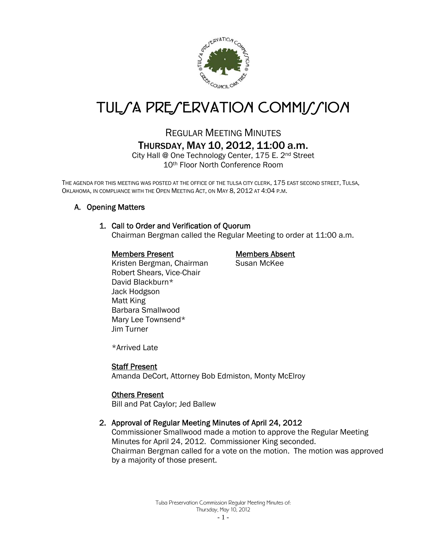

# TUL*SA PRESERVATION COMMISSION*

## REGULAR MEETING MINUTES THURSDAY, MAY 10, 2012, 11:00 a.m.

City Hall @ One Technology Center, 175 E. 2nd Street 10th Floor North Conference Room

THE AGENDA FOR THIS MEETING WAS POSTED AT THE OFFICE OF THE TULSA CITY CLERK, 175 EAST SECOND STREET, TULSA, OKLAHOMA, IN COMPLIANCE WITH THE OPEN MEETING ACT, ON MAY 8, 2012 AT 4:04 P.M.

#### A. Opening Matters

#### 1. Call to Order and Verification of Quorum

Chairman Bergman called the Regular Meeting to order at 11:00 a.m.

#### Members Present Members Absent

Kristen Bergman, Chairman Susan McKee Robert Shears, Vice-Chair David Blackburn\* Jack Hodgson Matt King Barbara Smallwood Mary Lee Townsend\* Jim Turner

\*Arrived Late

#### Staff Present

Amanda DeCort, Attorney Bob Edmiston, Monty McElroy

#### **Others Present**

Bill and Pat Caylor; Jed Ballew

#### 2. Approval of Regular Meeting Minutes of April 24, 2012

Commissioner Smallwood made a motion to approve the Regular Meeting Minutes for April 24, 2012. Commissioner King seconded. Chairman Bergman called for a vote on the motion. The motion was approved by a majority of those present.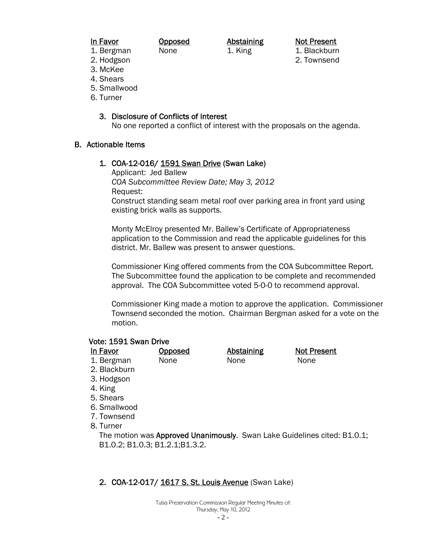In Favor **Opposed** Abstaining Not Present

1. Bergman None 1. King 1. Blackburn

- 2. Hodgson 2. Townsend
- 3. McKee
- 4. Shears
- 5. Smallwood
- 6. Turner

#### 3. Disclosure of Conflicts of Interest

No one reported a conflict of interest with the proposals on the agenda.

#### B. Actionable Items

#### 1. COA-12-016/ 1591 Swan Drive (Swan Lake)

Applicant: Jed Ballew *COA Subcommittee Review Date; May 3, 2012*  Request:

Construct standing seam metal roof over parking area in front yard using existing brick walls as supports.

Monty McElroy presented Mr. Ballew's Certificate of Appropriateness application to the Commission and read the applicable guidelines for this district. Mr. Ballew was present to answer questions.

Commissioner King offered comments from the COA Subcommittee Report. The Subcommittee found the application to be complete and recommended approval. The COA Subcommittee voted 5-0-0 to recommend approval.

Commissioner King made a motion to approve the application. Commissioner Townsend seconded the motion. Chairman Bergman asked for a vote on the motion.

### Vote: 1591 Swan Drive

| In Favor   | <b>Opposed</b> | Abstaining | <b>Not Present</b> |
|------------|----------------|------------|--------------------|
| 1. Bergman | None           | None       | <b>None</b>        |

2. Blackburn

- 
- 3. Hodgson
- 4. King
- 5. Shears
- 6. Smallwood
- 7. Townsend
- 8. Turner

The motion was Approved Unanimously. Swan Lake Guidelines cited: B1.0.1; B1.0.2; B1.0.3; B1.2.1;B1.3.2.

### 2. COA-12-017/ 1617 S. St. Louis Avenue (Swan Lake)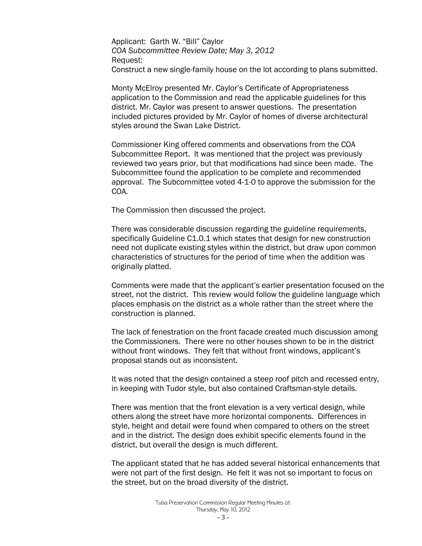Applicant: Garth W. "Bill" Caylor *COA Subcommittee Review Date; May 3, 2012*  Request:

Construct a new single-family house on the lot according to plans submitted.

Monty McElroy presented Mr. Caylor's Certificate of Appropriateness application to the Commission and read the applicable guidelines for this district. Mr. Caylor was present to answer questions. The presentation included pictures provided by Mr. Caylor of homes of diverse architectural styles around the Swan Lake District.

Commissioner King offered comments and observations from the COA Subcommittee Report. It was mentioned that the project was previously reviewed two years prior, but that modifications had since been made. The Subcommittee found the application to be complete and recommended approval. The Subcommittee voted 4-1-0 to approve the submission for the COA.

The Commission then discussed the project.

There was considerable discussion regarding the guideline requirements, specifically Guideline C1.0.1 which states that design for new construction need not duplicate existing styles within the district, but draw upon common characteristics of structures for the period of time when the addition was originally platted.

Comments were made that the applicant's earlier presentation focused on the street, not the district. This review would follow the guideline language which places emphasis on the district as a whole rather than the street where the construction is planned.

The lack of fenestration on the front facade created much discussion among the Commissioners. There were no other houses shown to be in the district without front windows. They felt that without front windows, applicant's proposal stands out as inconsistent.

It was noted that the design contained a steep roof pitch and recessed entry, in keeping with Tudor style, but also contained Craftsman-style details.

There was mention that the front elevation is a very vertical design, while others along the street have more horizontal components. Differences in style, height and detail were found when compared to others on the street and in the district. The design does exhibit specific elements found in the district, but overall the design is much different.

The applicant stated that he has added several historical enhancements that were not part of the first design. He felt it was not so important to focus on the street, but on the broad diversity of the district.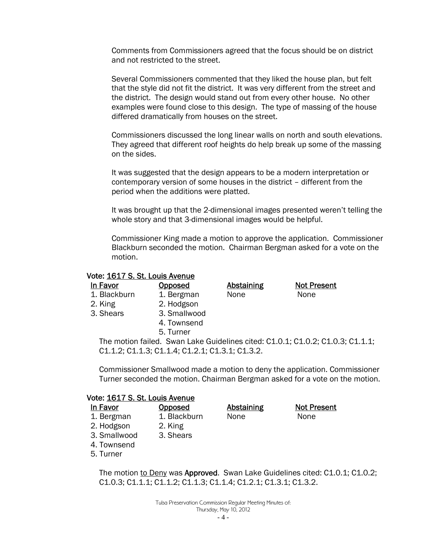Comments from Commissioners agreed that the focus should be on district and not restricted to the street.

Several Commissioners commented that they liked the house plan, but felt that the style did not fit the district. It was very different from the street and the district. The design would stand out from every other house. No other examples were found close to this design. The type of massing of the house differed dramatically from houses on the street.

Commissioners discussed the long linear walls on north and south elevations. They agreed that different roof heights do help break up some of the massing on the sides.

It was suggested that the design appears to be a modern interpretation or contemporary version of some houses in the district – different from the period when the additions were platted.

It was brought up that the 2-dimensional images presented weren't telling the whole story and that 3-dimensional images would be helpful.

Commissioner King made a motion to approve the application. Commissioner Blackburn seconded the motion. Chairman Bergman asked for a vote on the motion.

#### Vote: 1617 S. St. Louis Avenue

| In Favor     | <b>Opposed</b> | <b>Abstaining</b> | <b>Not Present</b>                                                             |
|--------------|----------------|-------------------|--------------------------------------------------------------------------------|
| 1. Blackburn | 1. Bergman     | None              | None                                                                           |
| 2. King      | 2. Hodgson     |                   |                                                                                |
| 3. Shears    | 3. Smallwood   |                   |                                                                                |
|              | 4. Townsend    |                   |                                                                                |
|              | 5. Turner      |                   |                                                                                |
|              |                |                   | The motion failed. Swan Lake Guidelines cited: C1.0.1; C1.0.2; C1.0.3; C1.1.1; |

C1.1.2; C1.1.3; C1.1.4; C1.2.1; C1.3.1; C1.3.2.

Commissioner Smallwood made a motion to deny the application. Commissioner Turner seconded the motion. Chairman Bergman asked for a vote on the motion.

#### Vote: 1617 S. St. Louis Avenue

| In Favor     | <b>Opposed</b> | <b>Abstaining</b> | <b>Not Present</b> |  |
|--------------|----------------|-------------------|--------------------|--|
| 1. Bergman   | 1. Blackburn   | None              | None               |  |
| 2. Hodgson   | 2. King        |                   |                    |  |
| 3. Smallwood | 3. Shears      |                   |                    |  |
| 4. Townsend  |                |                   |                    |  |
| 5. Turner    |                |                   |                    |  |

The motion to Deny was Approved. Swan Lake Guidelines cited: C1.0.1; C1.0.2; C1.0.3; C1.1.1; C1.1.2; C1.1.3; C1.1.4; C1.2.1; C1.3.1; C1.3.2.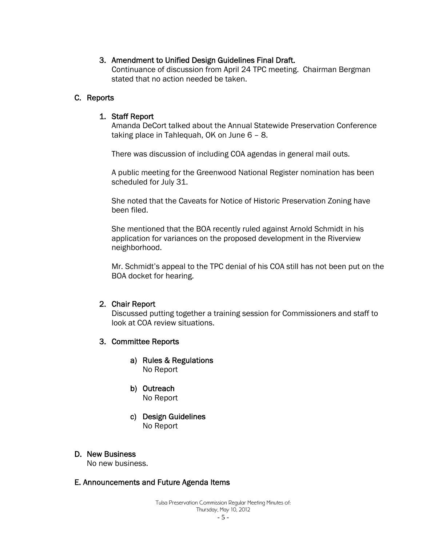#### 3. Amendment to Unified Design Guidelines Final Draft.

Continuance of discussion from April 24 TPC meeting. Chairman Bergman stated that no action needed be taken.

#### C. Reports

#### 1. Staff Report

Amanda DeCort talked about the Annual Statewide Preservation Conference taking place in Tahlequah, OK on June 6 – 8.

There was discussion of including COA agendas in general mail outs.

A public meeting for the Greenwood National Register nomination has been scheduled for July 31.

She noted that the Caveats for Notice of Historic Preservation Zoning have been filed.

She mentioned that the BOA recently ruled against Arnold Schmidt in his application for variances on the proposed development in the Riverview neighborhood.

Mr. Schmidt's appeal to the TPC denial of his COA still has not been put on the BOA docket for hearing.

#### 2. Chair Report

Discussed putting together a training session for Commissioners and staff to look at COA review situations.

- 3. Committee Reports
	- a) Rules & Regulations No Report
	- b) Outreach No Report
	- c) Design Guidelines No Report

#### D. New Business

No new business.

#### E. Announcements and Future Agenda Items